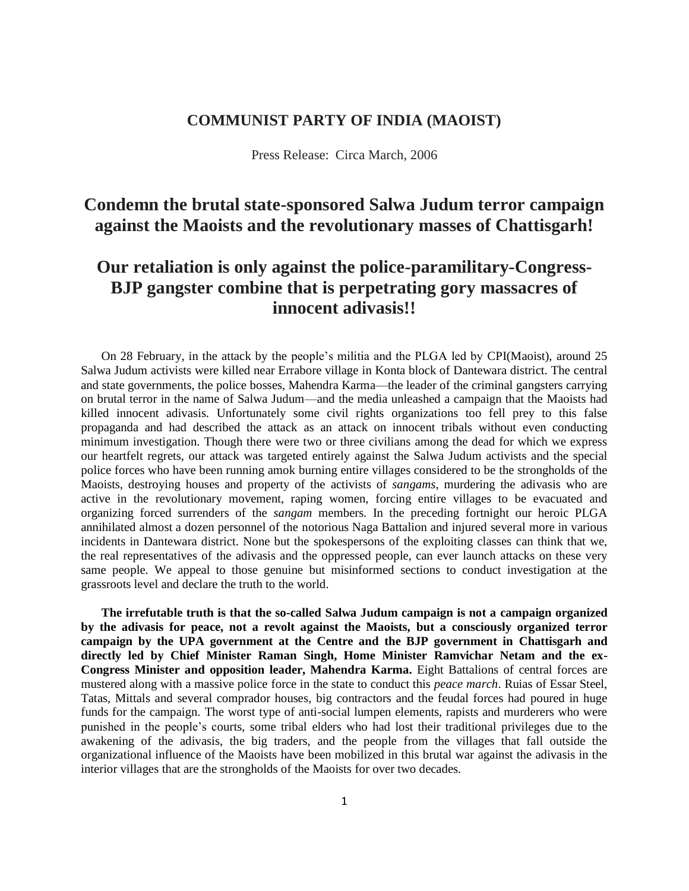## **COMMUNIST PARTY OF INDIA (MAOIST)**

Press Release: Circa March, 2006

## **Condemn the brutal state-sponsored Salwa Judum terror campaign against the Maoists and the revolutionary masses of Chattisgarh!**

## **Our retaliation is only against the police-paramilitary-Congress-BJP gangster combine that is perpetrating gory massacres of innocent adivasis!!**

On 28 February, in the attack by the people's militia and the PLGA led by CPI(Maoist), around 25 Salwa Judum activists were killed near Errabore village in Konta block of Dantewara district. The central and state governments, the police bosses, Mahendra Karma—the leader of the criminal gangsters carrying on brutal terror in the name of Salwa Judum—and the media unleashed a campaign that the Maoists had killed innocent adivasis. Unfortunately some civil rights organizations too fell prey to this false propaganda and had described the attack as an attack on innocent tribals without even conducting minimum investigation. Though there were two or three civilians among the dead for which we express our heartfelt regrets, our attack was targeted entirely against the Salwa Judum activists and the special police forces who have been running amok burning entire villages considered to be the strongholds of the Maoists, destroying houses and property of the activists of *sangams*, murdering the adivasis who are active in the revolutionary movement, raping women, forcing entire villages to be evacuated and organizing forced surrenders of the *sangam* members. In the preceding fortnight our heroic PLGA annihilated almost a dozen personnel of the notorious Naga Battalion and injured several more in various incidents in Dantewara district. None but the spokespersons of the exploiting classes can think that we, the real representatives of the adivasis and the oppressed people, can ever launch attacks on these very same people. We appeal to those genuine but misinformed sections to conduct investigation at the grassroots level and declare the truth to the world.

**The irrefutable truth is that the so-called Salwa Judum campaign is not a campaign organized by the adivasis for peace, not a revolt against the Maoists, but a consciously organized terror campaign by the UPA government at the Centre and the BJP government in Chattisgarh and directly led by Chief Minister Raman Singh, Home Minister Ramvichar Netam and the ex-Congress Minister and opposition leader, Mahendra Karma.** Eight Battalions of central forces are mustered along with a massive police force in the state to conduct this *peace march*. Ruias of Essar Steel, Tatas, Mittals and several comprador houses, big contractors and the feudal forces had poured in huge funds for the campaign. The worst type of anti-social lumpen elements, rapists and murderers who were punished in the people's courts, some tribal elders who had lost their traditional privileges due to the awakening of the adivasis, the big traders, and the people from the villages that fall outside the organizational influence of the Maoists have been mobilized in this brutal war against the adivasis in the interior villages that are the strongholds of the Maoists for over two decades.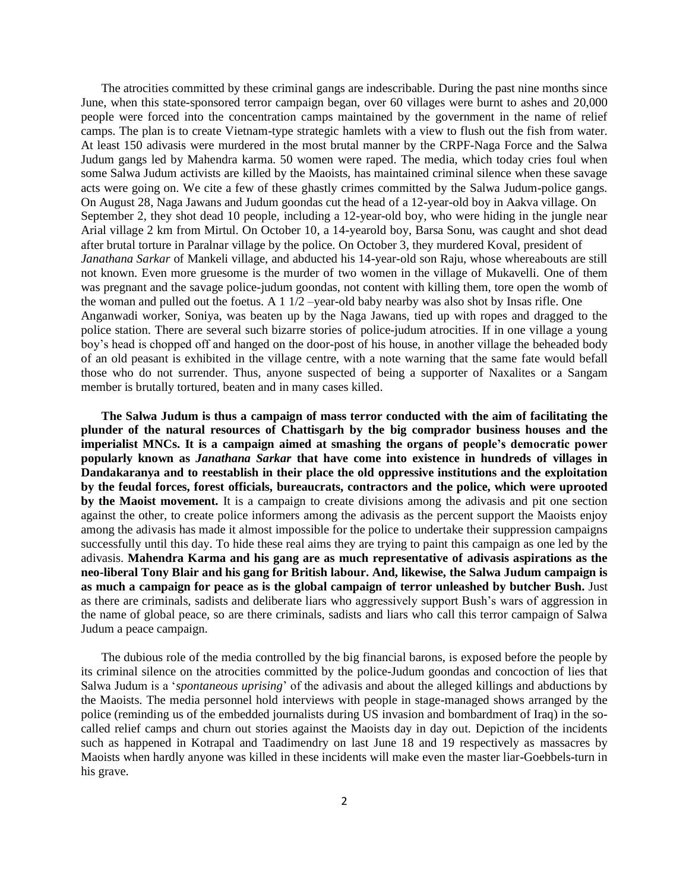The atrocities committed by these criminal gangs are indescribable. During the past nine months since June, when this state-sponsored terror campaign began, over 60 villages were burnt to ashes and 20,000 people were forced into the concentration camps maintained by the government in the name of relief camps. The plan is to create Vietnam-type strategic hamlets with a view to flush out the fish from water. At least 150 adivasis were murdered in the most brutal manner by the CRPF-Naga Force and the Salwa Judum gangs led by Mahendra karma. 50 women were raped. The media, which today cries foul when some Salwa Judum activists are killed by the Maoists, has maintained criminal silence when these savage acts were going on. We cite a few of these ghastly crimes committed by the Salwa Judum-police gangs. On August 28, Naga Jawans and Judum goondas cut the head of a 12-year-old boy in Aakva village. On September 2, they shot dead 10 people, including a 12-year-old boy, who were hiding in the jungle near Arial village 2 km from Mirtul. On October 10, a 14-yearold boy, Barsa Sonu, was caught and shot dead after brutal torture in Paralnar village by the police. On October 3, they murdered Koval, president of *Janathana Sarkar* of Mankeli village, and abducted his 14-year-old son Raju, whose whereabouts are still not known. Even more gruesome is the murder of two women in the village of Mukavelli. One of them was pregnant and the savage police-judum goondas, not content with killing them, tore open the womb of the woman and pulled out the foetus. A 1 1/2 –year-old baby nearby was also shot by Insas rifle. One Anganwadi worker, Soniya, was beaten up by the Naga Jawans, tied up with ropes and dragged to the police station. There are several such bizarre stories of police-judum atrocities. If in one village a young boy's head is chopped off and hanged on the door-post of his house, in another village the beheaded body of an old peasant is exhibited in the village centre, with a note warning that the same fate would befall those who do not surrender. Thus, anyone suspected of being a supporter of Naxalites or a Sangam member is brutally tortured, beaten and in many cases killed.

**The Salwa Judum is thus a campaign of mass terror conducted with the aim of facilitating the plunder of the natural resources of Chattisgarh by the big comprador business houses and the imperialist MNCs. It is a campaign aimed at smashing the organs of people's democratic power popularly known as** *Janathana Sarkar* **that have come into existence in hundreds of villages in Dandakaranya and to reestablish in their place the old oppressive institutions and the exploitation by the feudal forces, forest officials, bureaucrats, contractors and the police, which were uprooted by the Maoist movement.** It is a campaign to create divisions among the adivasis and pit one section against the other, to create police informers among the adivasis as the percent support the Maoists enjoy among the adivasis has made it almost impossible for the police to undertake their suppression campaigns successfully until this day. To hide these real aims they are trying to paint this campaign as one led by the adivasis. **Mahendra Karma and his gang are as much representative of adivasis aspirations as the neo-liberal Tony Blair and his gang for British labour. And, likewise, the Salwa Judum campaign is as much a campaign for peace as is the global campaign of terror unleashed by butcher Bush.** Just as there are criminals, sadists and deliberate liars who aggressively support Bush's wars of aggression in the name of global peace, so are there criminals, sadists and liars who call this terror campaign of Salwa Judum a peace campaign.

The dubious role of the media controlled by the big financial barons, is exposed before the people by its criminal silence on the atrocities committed by the police-Judum goondas and concoction of lies that Salwa Judum is a '*spontaneous uprising*' of the adivasis and about the alleged killings and abductions by the Maoists. The media personnel hold interviews with people in stage-managed shows arranged by the police (reminding us of the embedded journalists during US invasion and bombardment of Iraq) in the socalled relief camps and churn out stories against the Maoists day in day out. Depiction of the incidents such as happened in Kotrapal and Taadimendry on last June 18 and 19 respectively as massacres by Maoists when hardly anyone was killed in these incidents will make even the master liar-Goebbels-turn in his grave.